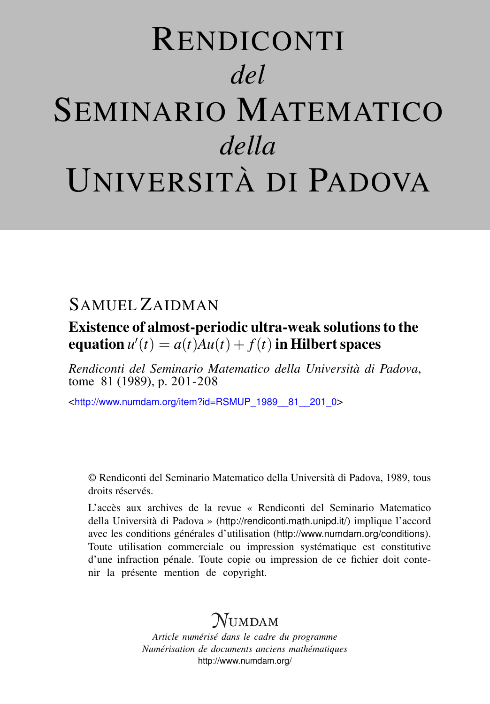# RENDICONTI *del* SEMINARIO MATEMATICO *della* UNIVERSITÀ DI PADOVA

## SAMUEL ZAIDMAN

Existence of almost-periodic ultra-weak solutions to the equation  $u'(t) = a(t)Au(t) + f(t)$  in Hilbert spaces

*Rendiconti del Seminario Matematico della Università di Padova*, tome 81 (1989), p. 201-208

<[http://www.numdam.org/item?id=RSMUP\\_1989\\_\\_81\\_\\_201\\_0](http://www.numdam.org/item?id=RSMUP_1989__81__201_0)>

© Rendiconti del Seminario Matematico della Università di Padova, 1989, tous droits réservés.

L'accès aux archives de la revue « Rendiconti del Seminario Matematico della Università di Padova » (<http://rendiconti.math.unipd.it/>) implique l'accord avec les conditions générales d'utilisation (<http://www.numdam.org/conditions>). Toute utilisation commerciale ou impression systématique est constitutive d'une infraction pénale. Toute copie ou impression de ce fichier doit contenir la présente mention de copyright.

## $\mathcal{N}$ umdam

*Article numérisé dans le cadre du programme Numérisation de documents anciens mathématiques* <http://www.numdam.org/>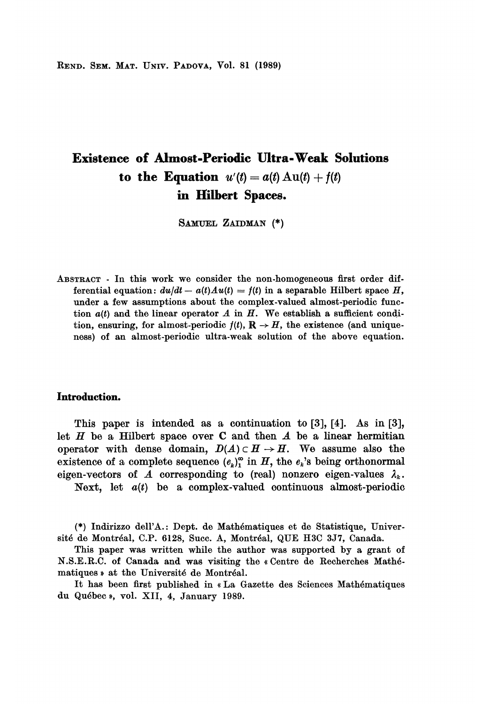REND. SEM. MAT. UNIV. PADOVA, Vol. 81 (1989)

## Existence of Almost-Periodic Ultra-Weak Solutions to the Equation  $u'(t) = a(t) \,\mathrm{Au}(t) + f(t)$ in Hilbert Spaces.

SAMUEL ZAIDMAN (\*)

ABSTRACT - In this work we consider the non-homogeneous first order differential equation:  $du/dt - a(t)Au(t) = f(t)$  in a separable Hilbert space H, under a few assumptions about the complex-valued almost-periodic function  $a(t)$  and the linear operator A in H. We establish a sufficient condition, ensuring, for almost-periodic  $f(t)$ ,  $\mathbb{R} \to H$ , the existence (and uniqueness) of an almost-periodic ultra-weak solution of the above equation.

#### Introduction.

This paper is intended as a continuation to [3], [4]. As in [3], let  $H$  be a Hilbert space over  $C$  and then  $A$  be a linear hermitian operator with dense domain,  $D(A) \subset H \to H$ . We assume also the existence of a complete sequence  $(e_k)_1^{\infty}$  in H, the  $e_k$ 's being orthonormal eigen-vectors of A corresponding to (real) nonzero eigen-values  $\lambda_k$ . Next, let  $a(t)$  be a complex-valued continuous almost-periodic

(\*) Indirizzo dell'A.: Dept. de Math6matiques et de Statistique, Université de Montréal, C.P. 6128, Succ. A, Montréal, QUE H3C 3J7, Canada.

This paper was written while the author was supported by a grant of N.S.E.R.C. of Canada and was visiting the « Centre de Recherches Math6 matiques » at the Université de Montréal.

It has been first published in « La Gazette des Sciences Mathématiques du Québec », vol. XII, 4, January 1989.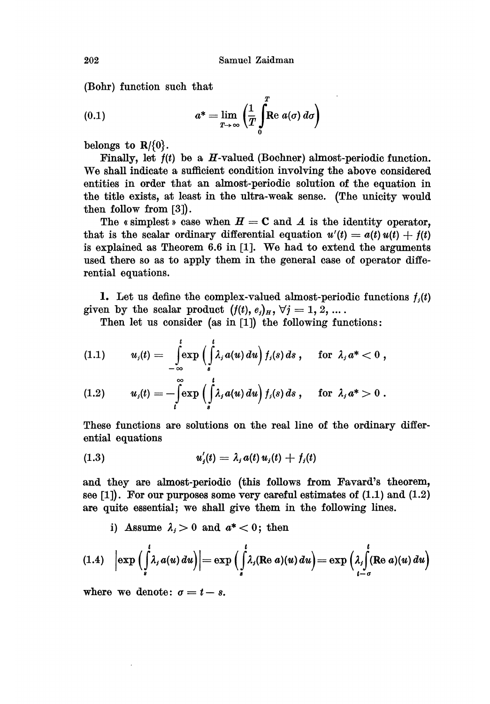$\overline{a}$ 

(Bohr) function such that

(0.1) 
$$
a^* = \lim_{T \to \infty} \left( \frac{1}{T} \int_0^T \mathbf{R} e \ a(\sigma) \, d\sigma \right)
$$

belongs to  $\mathbb{R}/\{0\}$ .

Finally, let  $f(t)$  be a H-valued (Bochner) almost-periodic function. We shall indicate a sufficient condition involving the above considered entities in order that an almost-periodic solution of the equation in the title exists, at least in the ultra-weak sense. (The unicity would then follow from [3]).

The « simplest » case when  $H = C$  and A is the identity operator. that is the scalar ordinary differential equation  $u'(t) = a(t) u(t) + f(t)$ is explained as Theorem 6.6 in [1]. We had to extend the arguments used there so as to apply them in the general case of operator differential equations.

1. Let us define the complex-valued almost-periodic functions  $f_i(t)$ given by the scalar product  $(f(t), e_j)_H$ ,  $\forall j = 1, 2, ...$ .

Then let us consider (as in [1]) the following functions:

$$
(1.1) \t ui(t) = \int_{-\infty}^{t} \exp\left(\int_{s}^{t} \lambda_{i} a(u) du\right) f_{i}(s) ds, \t for \lambda_{i} a^{*} < 0,
$$

$$
(1.2) \t uj(t) = -\int\limits_{t}^{\infty} \exp\left(\int\limits_{s}^{t} \lambda_{j} a(u) du\right) f_{j}(s) ds, \t for \t \lambda_{j} a^* > 0.
$$

These functions are solutions on the real line of the ordinary differential equations

$$
(1.3) \t u'_j(t) = \lambda_j a(t) u_j(t) + f_j(t)
$$

and they are almost-periodic (this follows from Favard's theorem, see  $[1]$ . For our purposes some very careful estimates of  $(1.1)$  and  $(1.2)$ are quite essential; we shall give them in the following lines.

i) Assume  $\lambda_i > 0$  and  $a^* < 0$ ; then

$$
(1.4) \quad \left|\exp\left(\int\limits_s^t \lambda_s a(u) \, du\right)\right| = \exp\left(\int\limits_s^t \lambda_s (\text{Re } a)(u) \, du\right) = \exp\left(\lambda_s \int\limits_{t-\sigma}^t (\text{Re } a)(u) \, du\right)
$$

where we denote:  $\sigma = t - s$ .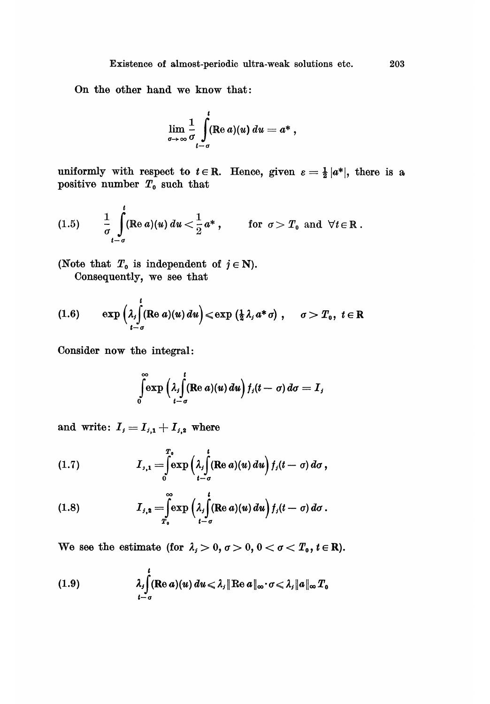On the other hand we know that:

$$
\lim_{\sigma\to\infty}\frac{1}{\sigma}\int\limits_{t-\sigma}^t(\operatorname{Re} a)(u)\,du=a^*\ ,
$$

uniformly with respect to  $t \in \mathbb{R}$ . Hence, given  $\varepsilon = \frac{1}{2} |a^*|$ , there is a positive number  $T_0$  such that

(1.5) 
$$
\frac{1}{\sigma} \int_{t-\sigma}^{t} (\text{Re } a)(u) du < \frac{1}{2} a^*, \quad \text{for } \sigma > T_0 \text{ and } \forall t \in \mathbb{R}.
$$

(Note that  $T_0$  is independent of  $j \in \mathbb{N}$ ). Consequently, we see that

(1.6) 
$$
\exp\left(\lambda_i \int_{t-\sigma}^t (\text{Re }a)(u) du\right) \leq \exp\left(\frac{1}{2}\lambda_i a^* \sigma\right), \quad \sigma > T_0, \ t \in \mathbb{R}
$$

Consider now the integral:

$$
\int\limits_{0}^{\infty}\exp\left(\lambda_{j}\int\limits_{t-\sigma}^{t}(\operatorname{Re} a)(u) du\right)f_{j}(t-\sigma) d\sigma=I_{j}
$$

and write:  $I_i = I_{i,1} + I_{i,2}$  where

(1.7) 
$$
I_{j,1} = \int_{0}^{T_0} \exp\left(\lambda_j \int_{t-\sigma}^{t} (\text{Re } a)(u) du\right) f_j(t-\sigma) d\sigma,
$$

(1.8) 
$$
I_{j,2} = \int_{T_0}^{\infty} \exp \left( \lambda_j \int_{t-\sigma}^t (\operatorname{Re} a)(u) du \right) f_j(t-\sigma) d\sigma.
$$

We see the estimate (for  $\lambda_j > 0$ ,  $\sigma > 0$ ,  $0 < \sigma < T_0$ ,  $t \in \mathbb{R}$ ).

(1.9) 
$$
\lambda_j \int_{t-\sigma}^t (\text{Re } a)(u) du \leq \lambda_j \|\text{Re } a\|_{\infty} \cdot \sigma \leq \lambda_j \|a\|_{\infty} T_0
$$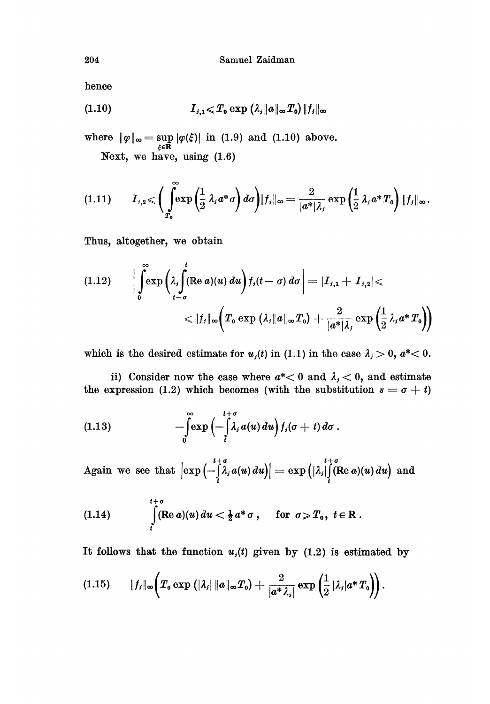hence

$$
(1.10) \t I_{j,1} \ll T_0 \exp \left( \lambda_j \|a\|_{\infty} T_0 \right) \|f_j\|_{\infty}
$$

where  $\|\varphi\|_{\infty} = \sup_{\xi \in \mathbf{R}} |\varphi(\xi)|$  in (1.9) and (1.10) above.

Next, we have, using (1.6)

$$
(1.11) \tI_{j,2} \leqslant \left( \int_{T_0}^{\infty} \exp\left(\frac{1}{2} \lambda_j a^* \sigma\right) d\sigma \right) \|f_j\|_{\infty} = \frac{2}{|a^*| \lambda_j} \exp\left(\frac{1}{2} \lambda_j a^* T_0\right) \|f_j\|_{\infty}.
$$

Thus, altogether, we obtain

$$
(1.12) \qquad \Big|\int_{0}^{\infty} \exp\left(\lambda_{j} \int_{t-\sigma}^{t} (\text{Re } a)(u) du\right) f_{j}(t-\sigma) d\sigma\Big| = |I_{j,1} + I_{j,2}| < |I_{j}|\infty \Big(T_{0} \exp\left(\lambda_{j} \|a\|_{\infty} T_{0}\right) + \frac{2}{|a^{*}| \lambda_{j}} \exp\left(\frac{1}{2} \lambda_{j} a^{*} T_{0}\right) \Big)
$$

which is the desired estimate for  $u_i(t)$  in (1.1) in the case  $\lambda_i > 0$ ,  $a^* < 0$ .

ii) Consider now the case where  $a^*$  o and  $\lambda_i$  o, and estimate the expression (1.2) which becomes (with the substitution  $s = \sigma + t$ )

(1.13) 
$$
-\int_{0}^{\infty} \exp\left(-\int_{t}^{t+\sigma} \lambda_{j} a(u) du\right) f_{j}(\sigma+t) d\sigma.
$$

Again we see that  $\left|\exp\left(-\int\limits_0^{t+\sigma}\hspace{-3pt}\lambda,a(u)\,du\right)\right| = \exp\left(|\lambda_j|\right)$  (Re  $a)(u)\,du\right)$  and

(1.14) 
$$
\int\limits_t^{t+\sigma} (\text{Re }a)(u) du < \frac{1}{2} a^* \sigma, \quad \text{for } \sigma \geq T_0, t \in \mathbb{R}.
$$

It follows that the function  $u_i(t)$  given by (1.2) is estimated by

$$
(1.15) \qquad \|f_{j}\|_{\infty}\bigg(T_{0} \exp\big(|\lambda_{j}|\|a\|_{\infty}T_{0}\big)+\frac{2}{|a^{*}\lambda_{j}|}\exp\bigg(\frac{1}{2}|\lambda_{j}|a^{*}T_{0}\bigg)\bigg).
$$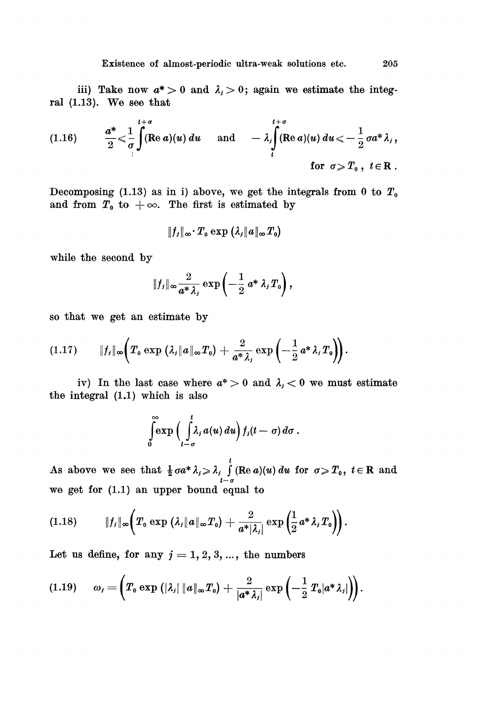iii) Take now  $a^* > 0$  and  $\lambda_i > 0$ ; again we estimate the integral (1.13). We see that

(1.16) 
$$
\frac{a^*}{2} \leq \frac{1}{\sigma} \int_{0}^{t+\sigma} (\text{Re } a)(u) du \quad \text{and} \quad -\lambda_i \int_{t}^{t+\sigma} (\text{Re } a)(u) du \leq -\frac{1}{2} \sigma a^* \lambda_i,
$$
  
for  $\sigma \geq T_0$ ,  $t \in \mathbb{R}$ .

Decomposing (1.13) as in i) above, we get the integrals from 0 to  $T_0$ and from  $T_0$  to  $+\infty$ . The first is estimated by

$$
\|f_j\|_{\infty}\cdotp T_{\rm o}\exp\left(\lambda_j\|a\|_{\infty}T_{\rm o}\right)
$$

while the second by

$$
||f_j||_{\infty} \frac{2}{a^*\lambda_j} \exp\left(-\frac{1}{2} a^*\lambda_j T_0\right),\,
$$

so that we get an estimate by

$$
(1.17) \qquad \|f_{j}\|_{\infty}\left(T_{0}\exp\left(\lambda_{j}\|a\|_{\infty}T_{0}\right)+\frac{2}{a^{*}\lambda_{j}}\exp\left(-\frac{1}{2}a^{*}\lambda_{j}T_{0}\right)\right).
$$

iv) In the last case where  $a^* > 0$  and  $\lambda_i < 0$  we must estimate the integral (1.1) which is also

$$
\int\limits_{0}^{\infty}\exp\Big(\int\limits_{t-\sigma}^{t}\lambda_{j}a(u)\,du\Big)\,f_{j}(t-\sigma)\,d\sigma\;.
$$

As above we see that  $\frac{1}{2} \sigma a^* \lambda_i \geq \lambda_i \int_{t-\sigma}^{t} (\text{Re } a)(u) du$  for  $\sigma \geq T_0$ ,  $t \in \mathbb{R}$  and we get for (1.1) an upper bound equal to

$$
(1.18) \t\t\t ||f_j||_{\infty}\bigg(T_0 \exp\left(\lambda_j||a||_{\infty}T_0\right)+\frac{2}{a^*|\lambda_j|}\exp\left(\frac{1}{2}a^*\lambda_jT_0\right)\bigg).
$$

Let us define, for any  $j = 1, 2, 3, ...$ , the numbers

$$
(1.19) \qquad \omega_j = \left(T_0 \exp\left(|\lambda_j| \|a\|_{\infty} T_0\right) + \frac{2}{|a^* \lambda_j|} \exp\left(-\frac{1}{2} T_0 |a^* \lambda_j|\right)\right).
$$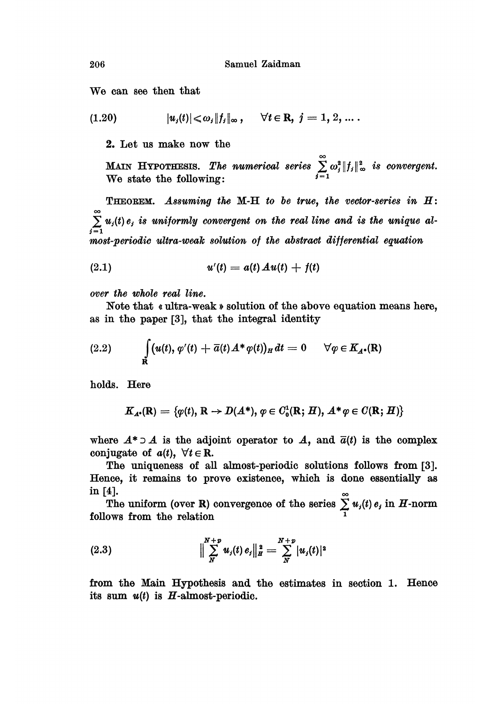We can see then that

$$
(1.20) \t\t |u_j(t)| \leq \omega_j \|f_j\|_{\infty}, \quad \forall t \in \mathbb{R}, \ j = 1, 2, ...
$$

2. Let us make now the

MAIN HYPOTHESIS. The numerical series  $\sum_{n=1}^{\infty}\omega_{j}^{2}\Vert f_{j}\Vert_{\infty}^{2}$  is convergent. We state the following:  $i=1$ 

THEOREM. Assuming the M-H to be true, the vector-series in H:  $\sum_{i=1}^{n} u_i(t) e_i$  is uniformly convergent on the real line and is the unique alm08t-periodic ultra-weak solution of the abstract differential equation

(2.1) 
$$
u'(t) = a(t) A u(t) + f(t)
$$

over the whole real line.

Note that « ultra-weak» solution of the above equation means here, as in the paper [3], that the integral identity

(2.2) 
$$
\int_{\mathbf{R}} (u(t), \varphi'(t) + \overline{\alpha}(t) A^* \varphi(t))_H dt = 0 \quad \forall \varphi \in K_{A^*}(\mathbf{R})
$$

holds. Here

$$
K_{A^*}(\mathbf{R}) = \{ \varphi(t), \, \mathbf{R} \to D(A^*), \, \varphi \in C_0^1(\mathbf{R}; H), \, A^* \varphi \in C(\mathbf{R}; H) \}
$$

where  $A^* \supset A$  is the adjoint operator to  $A$ , and  $\overline{a}(t)$  is the complex conjugate of  $a(t)$ ,  $\forall t \in \mathbb{R}$ .

The uniqueness of all almost-periodic solutions follows from [3]. Hence, it remains to prove existence, which is done essentially as in [4].  $\qquad \qquad \circ$ 

The uniform (over R) convergence of the series  $\sum_i u_i(t) e_i$  in H-norm follows from the relation

(2.3) 
$$
\Big\| \sum_{N}^{N+p} u_j(t) e_j \Big\|_{H}^{2} = \sum_{N}^{N+p} |u_j(t)|^2
$$

from the Main Hypothesis and the estimates in section 1. Hence its sum  $u(t)$  is H-almost-periodic.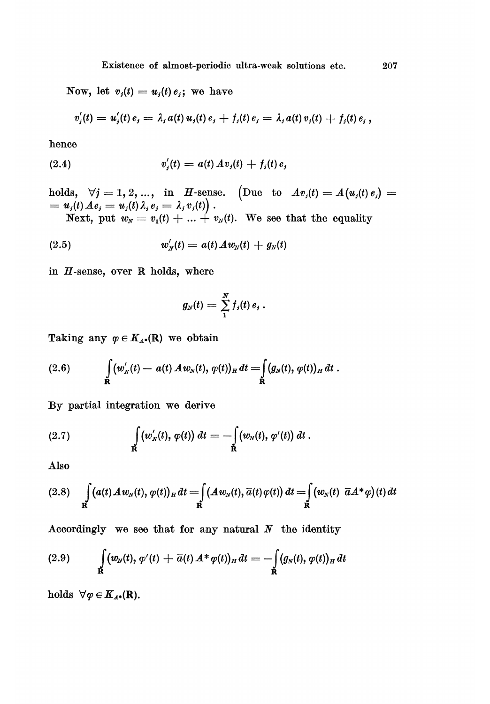Now, let  $v_j(t) = u_j(t) e_j$ ; we have

$$
v'_{j}(t) = u'_{j}(t) e_{j} = \lambda_{j} a(t) u_{j}(t) e_{j} + f_{j}(t) e_{j} = \lambda_{j} a(t) v_{j}(t) + f_{j}(t) e_{j},
$$

hence

(2.4) 
$$
v'_{j}(t) = a(t) \, Av_{j}(t) + f_{j}(t) \, e_{j}
$$

nolus, We see that the equality

(2.5) 
$$
w'_{N}(t) = a(t) A w_{N}(t) + g_{N}(t)
$$

in  $H$ -sense, over R holds, where

$$
g_N(t)=\sum_1^N f_j(t)\,e_j\,.
$$

Taking any  $\varphi \in K_{A^*}(\mathbb{R})$  we obtain

(2.6) 
$$
\int_{\mathbf{R}} (w'_{N}(t) - a(t) A w_{N}(t), \varphi(t))_{H} dt = \int_{\mathbf{R}} (g_{N}(t), \varphi(t))_{H} dt.
$$

By partial integration we derive

(2.7) 
$$
\int_{\mathbf{R}} (w'_{N}(t), \varphi(t)) dt = - \int_{\mathbf{R}} (w_{N}(t), \varphi'(t)) dt.
$$

Also

$$
(2.8)\quad \int\limits_{\mathbf{R}}\big(a(t)\mathcal{A}w_N(t),\varphi(t)\big)_H\,dt=\int\limits_{\mathbf{R}}\big(\mathcal{A}w_N(t),\overline{a}(t)\varphi(t)\big)\,dt=\int\limits_{\mathbf{R}}\big(w_N(t)\ \overline{a}\mathcal{A}^*\varphi\big)(t)\,dt
$$

Accordingly we see that for any natural  $N$  the identity

(2.9) 
$$
\int_{\mathbf{R}} (w_N(t), \, \varphi'(t) + \overline{a}(t) \, A^* \, \varphi(t))_H \, dt = - \int_{\mathbf{R}} (g_N(t), \, \varphi(t))_H \, dt
$$

holds  $\forall \varphi \in K_{A^*}(\mathbf{R}).$